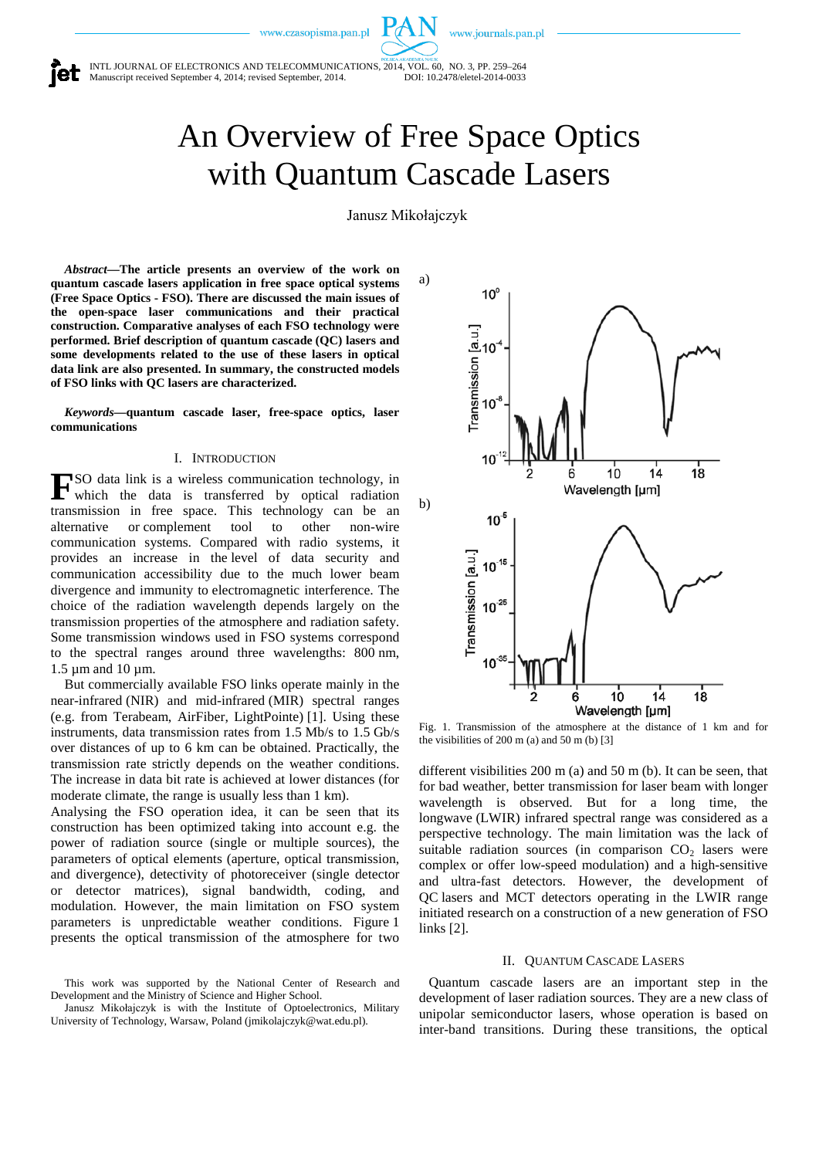www.journals.pan.pl

INTL JOURNAL OF ELECTRONICS AND TELECOMMUNICATIONS, 2014, VOL. 60, NO. 3, PP. 259–264<br>Manuscript received September 4, 2014; revised September, 2014. DOI: 10.2478/eletel-2014-0033 Manuscript received September 4, 2014; revised September, 2014.

# An Overview of Free Space Optics with Quantum Cascade Lasers

Janusz Mikołajczyk

a)

b)

*Abstract***—The article presents an overview of the work on quantum cascade lasers application in free space optical systems (Free Space Optics - FSO). There are discussed the main issues of the open-space laser communications and their practical construction. Comparative analyses of each FSO technology were performed. Brief description of quantum cascade (QC) lasers and some developments related to the use of these lasers in optical data link are also presented. In summary, the constructed models of FSO links with QC lasers are characterized.**

*Keywords***—quantum cascade laser, free-space optics, laser communications** 

### I. INTRODUCTION

SO data link is a wireless communication technology, in which the data is transferred by optical radiation transmission in free space. This technology can be an alternative or complement tool to other non-wire communication systems. Compared with radio systems, it provides an increase in the level of data security and communication accessibility due to the much lower beam divergence and immunity to electromagnetic interference. The choice of the radiation wavelength depends largely on the transmission properties of the atmosphere and radiation safety. Some transmission windows used in FSO systems correspond to the spectral ranges around three wavelengths: 800 nm,  $1.5 \mu m$  and  $10 \mu m$ . **F**

But commercially available FSO links operate mainly in the near-infrared (NIR) and mid-infrared (MIR) spectral ranges (e.g. from Terabeam, AirFiber, LightPointe) [1]. Using these instruments, data transmission rates from 1.5 Mb/s to 1.5 Gb/s over distances of up to 6 km can be obtained. Practically, the transmission rate strictly depends on the weather conditions. The increase in data bit rate is achieved at lower distances (for moderate climate, the range is usually less than 1 km).

Analysing the FSO operation idea, it can be seen that its construction has been optimized taking into account e.g. the power of radiation source (single or multiple sources), the parameters of optical elements (aperture, optical transmission, and divergence), detectivity of photoreceiver (single detector or detector matrices), signal bandwidth, coding, and modulation. However, the main limitation on FSO system parameters is unpredictable weather conditions. Figure 1 presents the optical transmission of the atmosphere for two

This work was supported by the National Center of Research and Development and the Ministry of Science and Higher School.



Fig. 1. Transmission of the atmosphere at the distance of 1 km and for the visibilities of  $200 \text{ m}$  (a) and  $50 \text{ m}$  (b)  $[3]$ 

different visibilities 200 m (a) and 50 m (b). It can be seen, that for bad weather, better transmission for laser beam with longer wavelength is observed. But for a long time, the longwave (LWIR) infrared spectral range was considered as a perspective technology. The main limitation was the lack of suitable radiation sources (in comparison  $CO<sub>2</sub>$  lasers were complex or offer low-speed modulation) and a high-sensitive and ultra-fast detectors. However, the development of QC lasers and MCT detectors operating in the LWIR range initiated research on a construction of a new generation of FSO links [2].

### II. QUANTUM CASCADE LASERS

Quantum cascade lasers are an important step in the development of laser radiation sources. They are a new class of unipolar semiconductor lasers, whose operation is based on inter-band transitions. During these transitions, the optical

Janusz Mikołajczyk is with the Institute of Optoelectronics, Military University of Technology, Warsaw, Poland (jmikolajczyk@wat.edu.pl).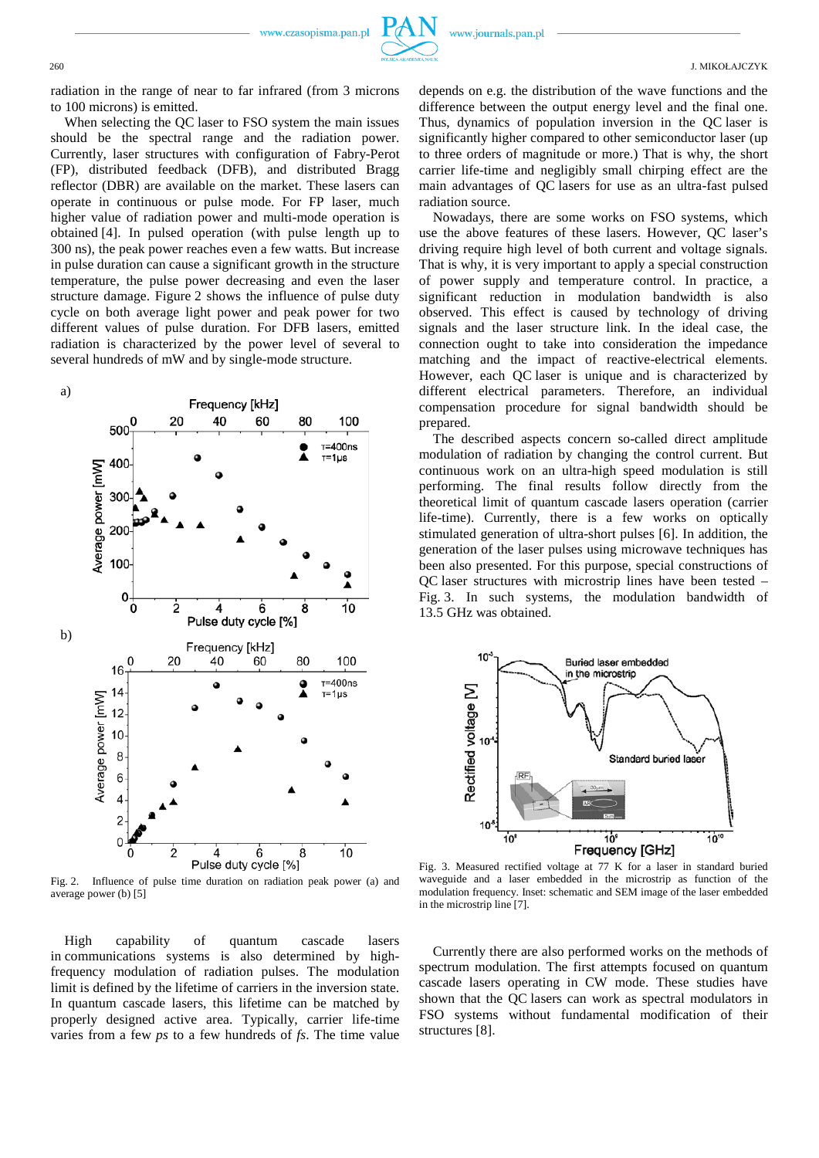radiation in the range of near to far infrared (from 3 microns to 100 microns) is emitted.

When selecting the QC laser to FSO system the main issues should be the spectral range and the radiation power. Currently, laser structures with configuration of Fabry-Perot (FP), distributed feedback (DFB), and distributed Bragg reflector (DBR) are available on the market. These lasers can operate in continuous or pulse mode. For FP laser, much higher value of radiation power and multi-mode operation is obtained [4]. In pulsed operation (with pulse length up to 300 ns), the peak power reaches even a few watts. But increase in pulse duration can cause a significant growth in the structure temperature, the pulse power decreasing and even the laser structure damage. Figure 2 shows the influence of pulse duty cycle on both average light power and peak power for two different values of pulse duration. For DFB lasers, emitted radiation is characterized by the power level of several to several hundreds of mW and by single-mode structure.



Fig. 2. Influence of pulse time duration on radiation peak power (a) and average power (b) [5]

High capability of quantum cascade lasers in communications systems is also determined by highfrequency modulation of radiation pulses. The modulation limit is defined by the lifetime of carriers in the inversion state. In quantum cascade lasers, this lifetime can be matched by properly designed active area. Typically, carrier life-time varies from a few *ps* to a few hundreds of *fs*. The time value

depends on e.g. the distribution of the wave functions and the difference between the output energy level and the final one. Thus, dynamics of population inversion in the QC laser is significantly higher compared to other semiconductor laser (up to three orders of magnitude or more.) That is why, the short carrier life-time and negligibly small chirping effect are the main advantages of QC lasers for use as an ultra-fast pulsed radiation source.

Nowadays, there are some works on FSO systems, which use the above features of these lasers. However, QC laser's driving require high level of both current and voltage signals. That is why, it is very important to apply a special construction of power supply and temperature control. In practice, a significant reduction in modulation bandwidth is also observed. This effect is caused by technology of driving signals and the laser structure link. In the ideal case, the connection ought to take into consideration the impedance matching and the impact of reactive-electrical elements. However, each QC laser is unique and is characterized by different electrical parameters. Therefore, an individual compensation procedure for signal bandwidth should be prepared.

The described aspects concern so-called direct amplitude modulation of radiation by changing the control current. But continuous work on an ultra-high speed modulation is still performing. The final results follow directly from the theoretical limit of quantum cascade lasers operation (carrier life-time). Currently, there is a few works on optically stimulated generation of ultra-short pulses [6]. In addition, the generation of the laser pulses using microwave techniques has been also presented. For this purpose, special constructions of QC laser structures with microstrip lines have been tested – Fig. 3. In such systems, the modulation bandwidth of 13.5 GHz was obtained.



Fig. 3. Measured rectified voltage at 77 K for a laser in standard buried waveguide and a laser embedded in the microstrip as function of the modulation frequency. Inset: schematic and SEM image of the laser embedded in the microstrip line [7].

Currently there are also performed works on the methods of spectrum modulation. The first attempts focused on quantum cascade lasers operating in CW mode. These studies have shown that the QC lasers can work as spectral modulators in FSO systems without fundamental modification of their structures [8].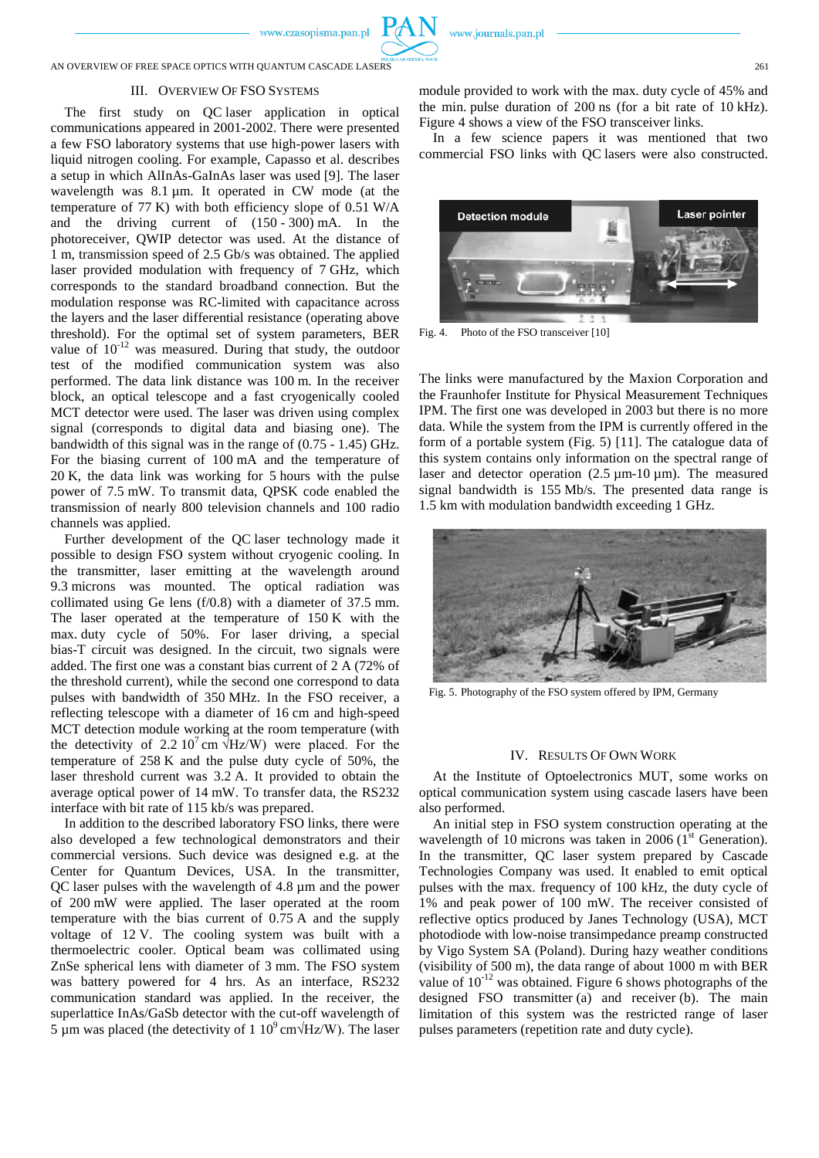

# AN OVERVIEW OF FREE SPACE OPTICS WITH QUANTUM CASCADE LASERS 261 261

### III. OVERVIEW OF FSO SYSTEMS

The first study on QC laser application in optical communications appeared in 2001-2002. There were presented a few FSO laboratory systems that use high-power lasers with liquid nitrogen cooling. For example, Capasso et al. describes a setup in which AlInAs-GaInAs laser was used [9]. The laser wavelength was 8.1 µm. It operated in CW mode (at the temperature of 77 K) with both efficiency slope of 0.51 W/A and the driving current of (150 - 300) mA. In the photoreceiver, QWIP detector was used. At the distance of 1 m, transmission speed of 2.5 Gb/s was obtained. The applied laser provided modulation with frequency of 7 GHz, which corresponds to the standard broadband connection. But the modulation response was RC-limited with capacitance across the layers and the laser differential resistance (operating above threshold). For the optimal set of system parameters, BER value of  $10^{-12}$  was measured. During that study, the outdoor test of the modified communication system was also performed. The data link distance was 100 m. In the receiver block, an optical telescope and a fast cryogenically cooled MCT detector were used. The laser was driven using complex signal (corresponds to digital data and biasing one). The bandwidth of this signal was in the range of (0.75 - 1.45) GHz. For the biasing current of 100 mA and the temperature of 20 K, the data link was working for 5 hours with the pulse power of 7.5 mW. To transmit data, QPSK code enabled the transmission of nearly 800 television channels and 100 radio channels was applied.

Further development of the QC laser technology made it possible to design FSO system without cryogenic cooling. In the transmitter, laser emitting at the wavelength around 9.3 microns was mounted. The optical radiation was collimated using Ge lens (f/0.8) with a diameter of 37.5 mm. The laser operated at the temperature of 150 K with the max. duty cycle of 50%. For laser driving, a special bias-T circuit was designed. In the circuit, two signals were added. The first one was a constant bias current of 2 A (72% of the threshold current), while the second one correspond to data pulses with bandwidth of 350 MHz. In the FSO receiver, a reflecting telescope with a diameter of 16 cm and high-speed MCT detection module working at the room temperature (with the detectivity of 2.2  $10^7$  cm  $\sqrt{\text{Hz/W}}$  were placed. For the temperature of 258 K and the pulse duty cycle of 50%, the laser threshold current was 3.2 A. It provided to obtain the average optical power of 14 mW. To transfer data, the RS232 interface with bit rate of 115 kb/s was prepared.

In addition to the described laboratory FSO links, there were also developed a few technological demonstrators and their commercial versions. Such device was designed e.g. at the Center for Quantum Devices, USA. In the transmitter, QC laser pulses with the wavelength of 4.8 µm and the power of 200 mW were applied. The laser operated at the room temperature with the bias current of 0.75 A and the supply voltage of 12 V. The cooling system was built with a thermoelectric cooler. Optical beam was collimated using ZnSe spherical lens with diameter of 3 mm. The FSO system was battery powered for 4 hrs. As an interface, RS232 communication standard was applied. In the receiver, the superlattice InAs/GaSb detector with the cut-off wavelength of 5 µm was placed (the detectivity of 1  $10^9 \text{ cm}$  Hz/W). The laser

module provided to work with the max. duty cycle of 45% and the min. pulse duration of 200 ns (for a bit rate of 10 kHz). Figure 4 shows a view of the FSO transceiver links.

In a few science papers it was mentioned that two commercial FSO links with QC lasers were also constructed.



Fig. 4. Photo of the FSO transceiver [10]

www.journals.pan.pl

The links were manufactured by the Maxion Corporation and the Fraunhofer Institute for Physical Measurement Techniques IPM. The first one was developed in 2003 but there is no more data. While the system from the IPM is currently offered in the form of a portable system (Fig. 5) [11]. The catalogue data of this system contains only information on the spectral range of laser and detector operation  $(2.5 \mu m-10 \mu m)$ . The measured signal bandwidth is 155 Mb/s. The presented data range is 1.5 km with modulation bandwidth exceeding 1 GHz.



Fig. 5. Photography of the FSO system offered by IPM, Germany

#### IV. RESULTS OF OWN WORK

At the Institute of Optoelectronics MUT, some works on optical communication system using cascade lasers have been also performed.

An initial step in FSO system construction operating at the wavelength of 10 microns was taken in 2006 ( $1<sup>st</sup>$  Generation). In the transmitter, QC laser system prepared by Cascade Technologies Company was used. It enabled to emit optical pulses with the max. frequency of 100 kHz, the duty cycle of 1% and peak power of 100 mW. The receiver consisted of reflective optics produced by Janes Technology (USA), MCT photodiode with low-noise transimpedance preamp constructed by Vigo System SA (Poland). During hazy weather conditions (visibility of 500 m), the data range of about 1000 m with BER value of  $10^{-12}$  was obtained. Figure 6 shows photographs of the designed FSO transmitter (a) and receiver (b). The main limitation of this system was the restricted range of laser pulses parameters (repetition rate and duty cycle).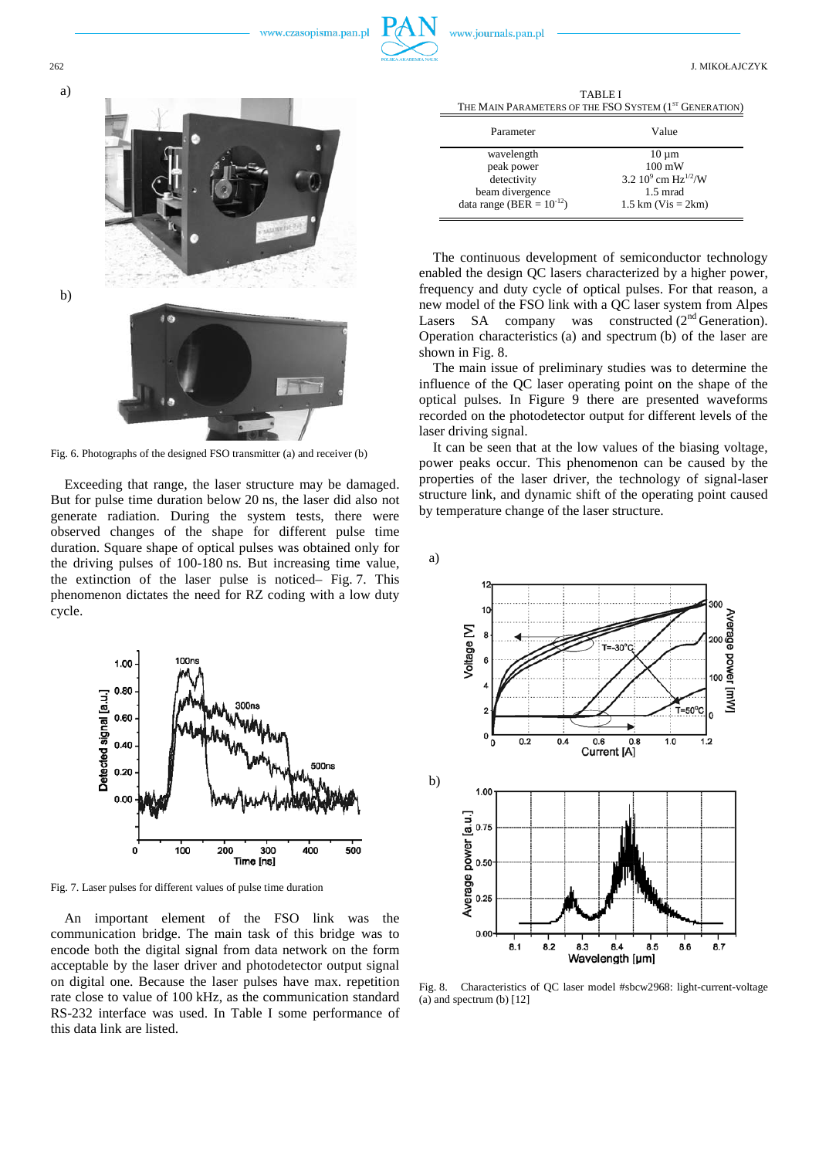

262 J. MIKOŁAJCZYK

TABLE I THE MAIN PARAMETERS OF THE FSO SYSTEM (1<sup>ST</sup> GENERATION)

| Parameter                      | Value                                       |
|--------------------------------|---------------------------------------------|
| wavelength                     | $10 \mu m$                                  |
| peak power                     | $100 \text{ mW}$                            |
| detectivity                    | 3.2 10 <sup>9</sup> cm Hz <sup>1/2</sup> /W |
| beam divergence                | 1.5 mrad                                    |
| data range (BER = $10^{-12}$ ) | 1.5 km ( $Vis = 2km$ )                      |

The continuous development of semiconductor technology enabled the design QC lasers characterized by a higher power, frequency and duty cycle of optical pulses. For that reason, a new model of the FSO link with a QC laser system from Alpes Lasers SA company was constructed  $(2<sup>nd</sup> Generation)$ . Operation characteristics (a) and spectrum (b) of the laser are shown in Fig. 8.

The main issue of preliminary studies was to determine the influence of the QC laser operating point on the shape of the optical pulses. In Figure 9 there are presented waveforms recorded on the photodetector output for different levels of the laser driving signal.

It can be seen that at the low values of the biasing voltage, power peaks occur. This phenomenon can be caused by the properties of the laser driver, the technology of signal-laser structure link, and dynamic shift of the operating point caused by temperature change of the laser structure.

a)



Fig. 8. Characteristics of QC laser model #sbcw2968: light-current-voltage (a) and spectrum (b) [12]

Fig. 6. Photographs of the designed FSO transmitter (a) and receiver (b)

Exceeding that range, the laser structure may be damaged. But for pulse time duration below 20 ns, the laser did also not generate radiation. During the system tests, there were observed changes of the shape for different pulse time duration. Square shape of optical pulses was obtained only for the driving pulses of 100-180 ns. But increasing time value, the extinction of the laser pulse is noticed– Fig. 7. This phenomenon dictates the need for RZ coding with a low duty cycle.

> 100n 1.00 0.80 Detected signal [a.u.] 0.60  $0.40$  $0.20$  $0.00$  $\mathbf{0}$ 100 200 300 400 500 Time [ns]

Fig. 7. Laser pulses for different values of pulse time duration

An important element of the FSO link was the communication bridge. The main task of this bridge was to encode both the digital signal from data network on the form acceptable by the laser driver and photodetector output signal on digital one. Because the laser pulses have max. repetition rate close to value of 100 kHz, as the communication standard RS-232 interface was used. In Table I some performance of this data link are listed.

a)

b)



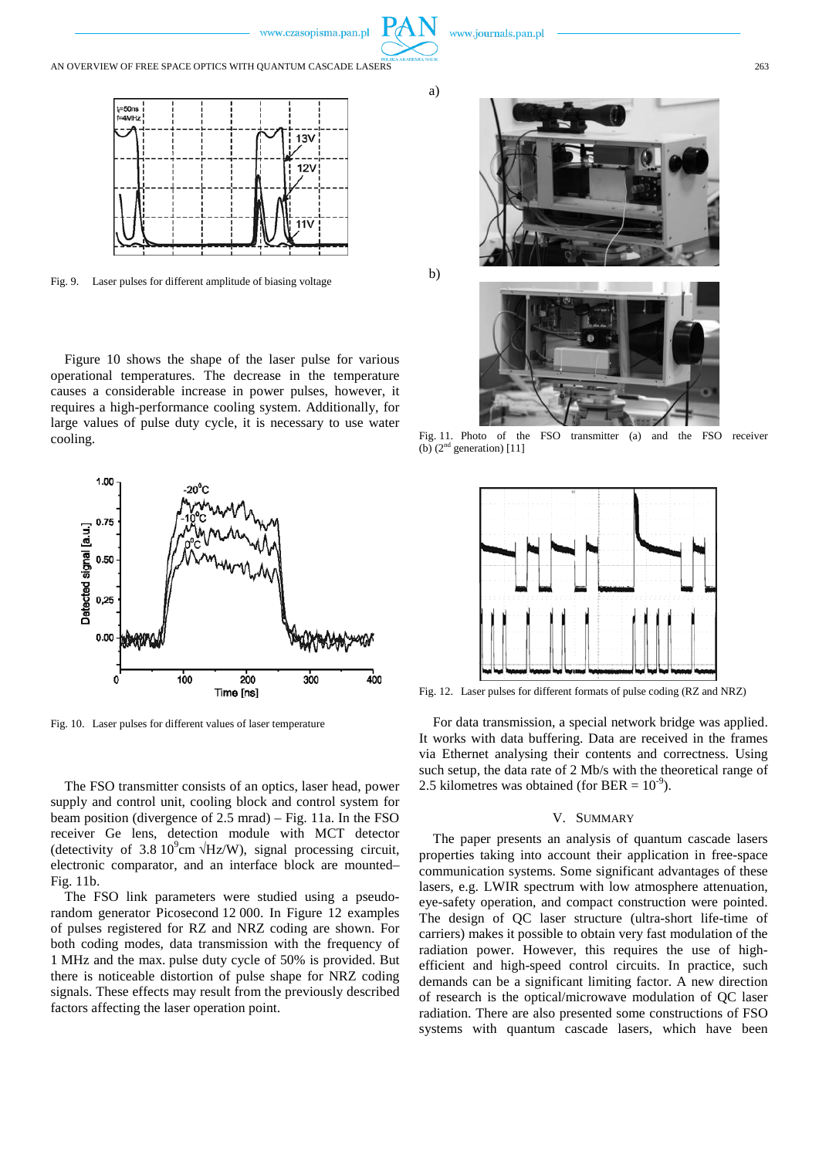

a)



Fig. 9. Laser pulses for different amplitude of biasing voltage

Figure 10 shows the shape of the laser pulse for various operational temperatures. The decrease in the temperature causes a considerable increase in power pulses, however, it requires a high-performance cooling system. Additionally, for large values of pulse duty cycle, it is necessary to use water cooling.



Fig. 10. Laser pulses for different values of laser temperature

The FSO transmitter consists of an optics, laser head, power supply and control unit, cooling block and control system for beam position (divergence of 2.5 mrad) – Fig. 11a. In the FSO receiver Ge lens, detection module with MCT detector (detectivity of 3.8  $10^9$ cm  $\sqrt{\text{Hz/W}}$ ), signal processing circuit, electronic comparator, and an interface block are mounted– Fig. 11b.

The FSO link parameters were studied using a pseudorandom generator Picosecond 12 000. In Figure 12 examples of pulses registered for RZ and NRZ coding are shown. For both coding modes, data transmission with the frequency of 1 MHz and the max. pulse duty cycle of 50% is provided. But there is noticeable distortion of pulse shape for NRZ coding signals. These effects may result from the previously described factors affecting the laser operation point.



b)



Fig. 11. Photo of the FSO transmitter (a) and the FSO receiver (b)  $(2<sup>nd</sup> generation)$  [11]



Fig. 12. Laser pulses for different formats of pulse coding (RZ and NRZ)

For data transmission, a special network bridge was applied. It works with data buffering. Data are received in the frames via Ethernet analysing their contents and correctness. Using such setup, the data rate of 2 Mb/s with the theoretical range of 2.5 kilometres was obtained (for BER =  $10^{-9}$ ).

## V. SUMMARY

The paper presents an analysis of quantum cascade lasers properties taking into account their application in free-space communication systems. Some significant advantages of these lasers, e.g. LWIR spectrum with low atmosphere attenuation, eye-safety operation, and compact construction were pointed. The design of QC laser structure (ultra-short life-time of carriers) makes it possible to obtain very fast modulation of the radiation power. However, this requires the use of highefficient and high-speed control circuits. In practice, such demands can be a significant limiting factor. A new direction of research is the optical/microwave modulation of QC laser radiation. There are also presented some constructions of FSO systems with quantum cascade lasers, which have been